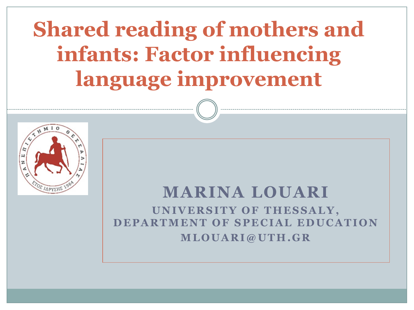# **Shared reading of mothers and infants: Factor influencing language improvement**



#### **MARINA LOUARI**

**UNIVERSITY OF THESSALY, DEPARTMENT OF SPECIAL EDUCATION M L O U A R I @ U T H . G R**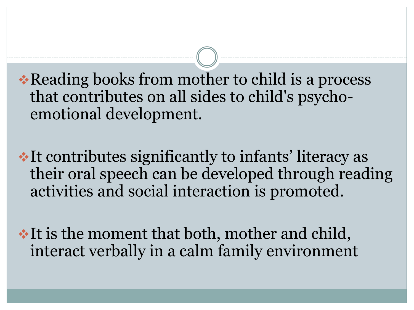\* Reading books from mother to child is a process that contributes on all sides to child's psychoemotional development.

It contributes significantly to infants' literacy as their oral speech can be developed through reading activities and social interaction is promoted.

It is the moment that both, mother and child, interact verbally in a calm family environment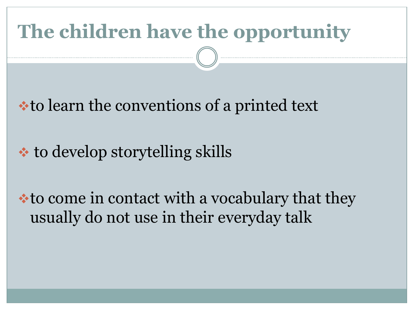# **The children have the opportunity**

• to learn the conventions of a printed text

#### **<del>◆</del>** to develop storytelling skills

**\*to come in contact with a vocabulary that they** usually do not use in their everyday talk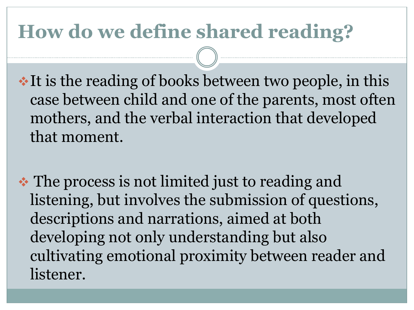### **How do we define shared reading?**

 $\cdot$  It is the reading of books between two people, in this case between child and one of the parents, most often mothers, and the verbal interaction that developed that moment.

• The process is not limited just to reading and listening, but involves the submission of questions, descriptions and narrations, aimed at both developing not only understanding but also cultivating emotional proximity between reader and listener.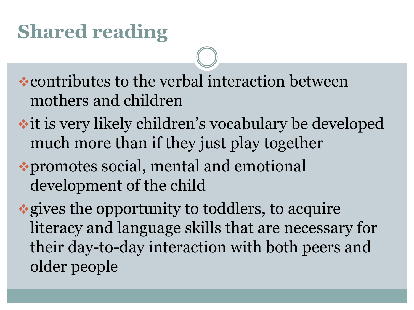### **Shared reading**

contributes to the verbal interaction between mothers and children

- **it is very likely children's vocabulary be developed** much more than if they just play together
- promotes social, mental and emotional development of the child

gives the opportunity to toddlers, to acquire literacy and language skills that are necessary for their day-to-day interaction with both peers and older people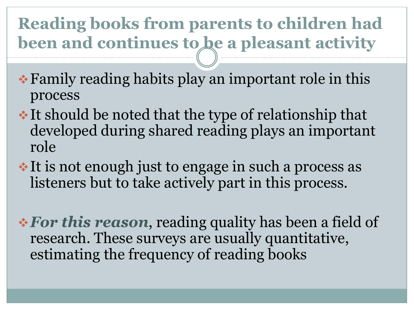#### **Reading books from parents to children had**  been and continues to be a pleasant activity

- Family reading habits play an important role in this process
- $\cdot$  It should be noted that the type of relationship that developed during shared reading plays an important role
- It is not enough just to engage in such a process as listeners but to take actively part in this process.

*For this reason*, reading quality has been a field of research. These surveys are usually quantitative, estimating the frequency of reading books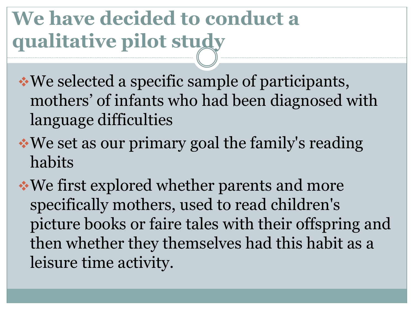## **We have decided to conduct a qualitative pilot study**

We selected a specific sample of participants, mothers' of infants who had been diagnosed with language difficulties

We set as our primary goal the family's reading habits

We first explored whether parents and more specifically mothers, used to read children's picture books or faire tales with their offspring and then whether they themselves had this habit as a leisure time activity.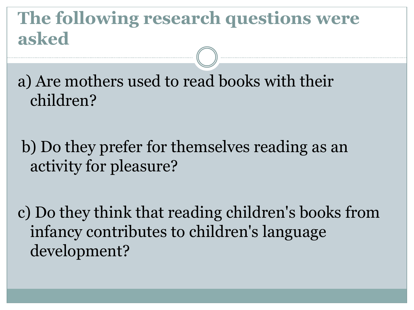#### **The following research questions were asked**

a) Are mothers used to read books with their children?

b) Do they prefer for themselves reading as an activity for pleasure?

c) Do they think that reading children's books from infancy contributes to children's language development?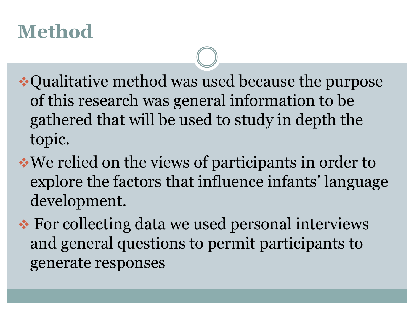### **Method**

- Qualitative method was used because the purpose of this research was general information to be gathered that will be used to study in depth the topic.
- We relied on the views of participants in order to explore the factors that influence infants' language development.
- **★ For collecting data we used personal interviews** and general questions to permit participants to generate responses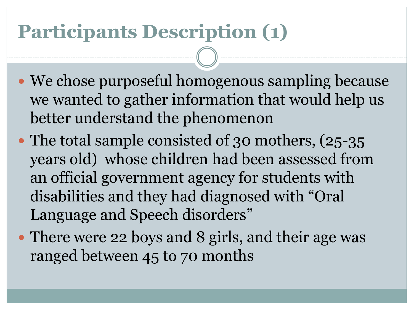### **Participants Description (1)**

- We chose purposeful homogenous sampling because we wanted to gather information that would help us better understand the phenomenon
- The total sample consisted of 30 mothers, (25-35) years old) whose children had been assessed from an official government agency for students with disabilities and they had diagnosed with "Oral Language and Speech disorders"
- There were 22 boys and 8 girls, and their age was ranged between 45 to 70 months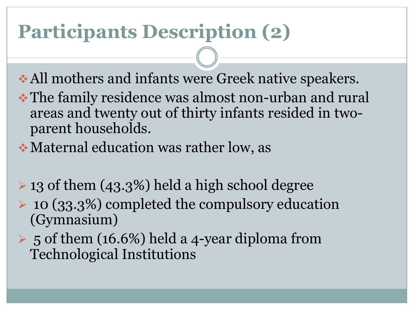### **Participants Description (2)**

- All mothers and infants were Greek native speakers.
- The family residence was almost non-urban and rural areas and twenty out of thirty infants resided in twoparent households.
- Maternal education was rather low, as
- $\geq$  13 of them (43.3%) held a high school degree
- $\geq$  10 (33.3%) completed the compulsory education (Gymnasium)
- $\triangleright$  5 of them (16.6%) held a 4-year diploma from Technological Institutions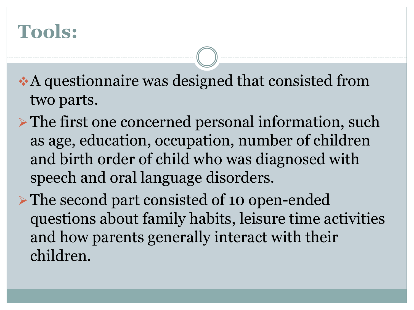### **Tools:**

A questionnaire was designed that consisted from two parts.

- $\triangleright$  The first one concerned personal information, such as age, education, occupation, number of children and birth order of child who was diagnosed with speech and oral language disorders.
- The second part consisted of 10 open-ended questions about family habits, leisure time activities and how parents generally interact with their children.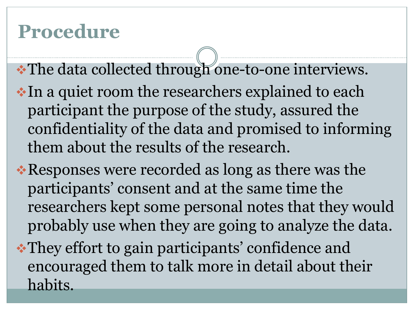### **Procedure**

- The data collected through one-to-one interviews.
- In a quiet room the researchers explained to each participant the purpose of the study, assured the confidentiality of the data and promised to informing them about the results of the research.
- Responses were recorded as long as there was the participants' consent and at the same time the researchers kept some personal notes that they would probably use when they are going to analyze the data. They effort to gain participants' confidence and encouraged them to talk more in detail about their habits.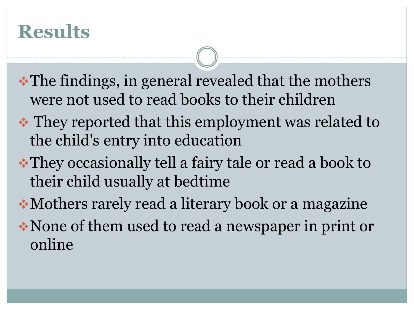#### **Results**

- •The findings, in general revealed that the mothers were not used to read books to their children
- They reported that this employment was related to the child's entry into education
- They occasionally tell a fairy tale or read a book to their child usually at bedtime
- Mothers rarely read a literary book or a magazine None of them used to read a newspaper in print or online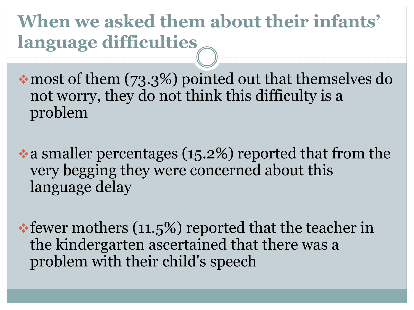**When we asked them about their infants' language difficulties**

most of them (73.3%) pointed out that themselves do not worry, they do not think this difficulty is a problem

a smaller percentages (15.2%) reported that from the very begging they were concerned about this language delay

fewer mothers (11.5%) reported that the teacher in the kindergarten ascertained that there was a problem with their child's speech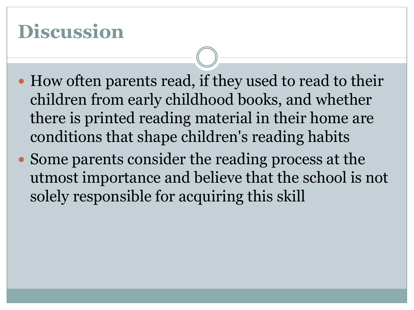### **Discussion**

- How often parents read, if they used to read to their children from early childhood books, and whether there is printed reading material in their home are conditions that shape children's reading habits
- Some parents consider the reading process at the utmost importance and believe that the school is not solely responsible for acquiring this skill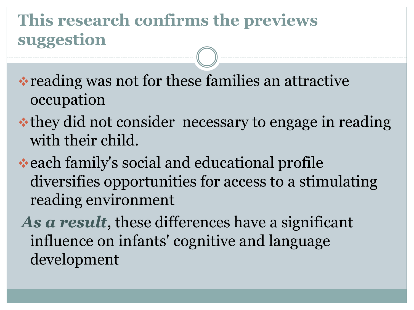#### **This research confirms the previews suggestion**

reading was not for these families an attractive occupation

- they did not consider necessary to engage in reading with their child.
- each family's social and educational profile diversifies opportunities for access to a stimulating reading environment
- *As a result*, these differences have a significant influence on infants' cognitive and language development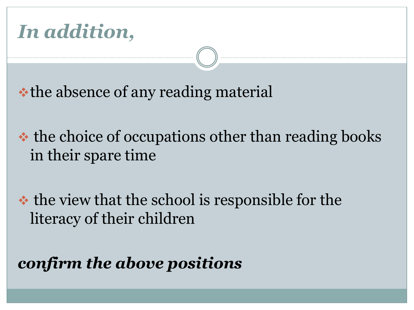

• the absence of any reading material

• the choice of occupations other than reading books in their spare time

 $\triangle$  the view that the school is responsible for the literacy of their children

*confirm the above positions*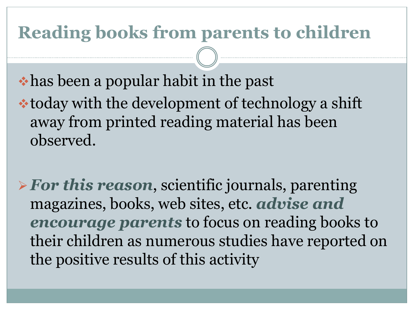#### **Reading books from parents to children**

has been a popular habit in the past

today with the development of technology a shift away from printed reading material has been observed.

*For this reason*, scientific journals, parenting magazines, books, web sites, etc. *advise and encourage parents* to focus on reading books to their children as numerous studies have reported on the positive results of this activity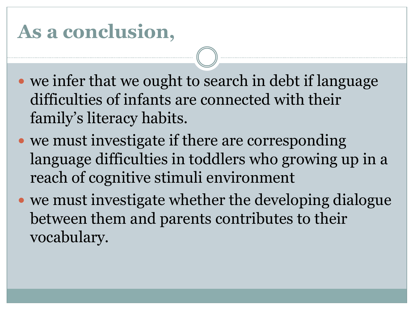### **As a conclusion,**

- we infer that we ought to search in debt if language difficulties of infants are connected with their family's literacy habits.
- we must investigate if there are corresponding language difficulties in toddlers who growing up in a reach of cognitive stimuli environment
- we must investigate whether the developing dialogue between them and parents contributes to their vocabulary.